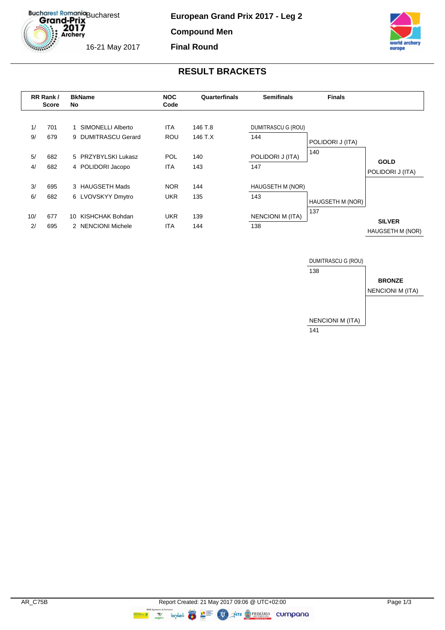Bucharest Romania<br> **Grand-Prix**  $2017$ <br>Archery

**European Grand Prix 2017 - Leg 2**

**Compound Men Final Round**



16-21 May 2017

### **RESULT BRACKETS**



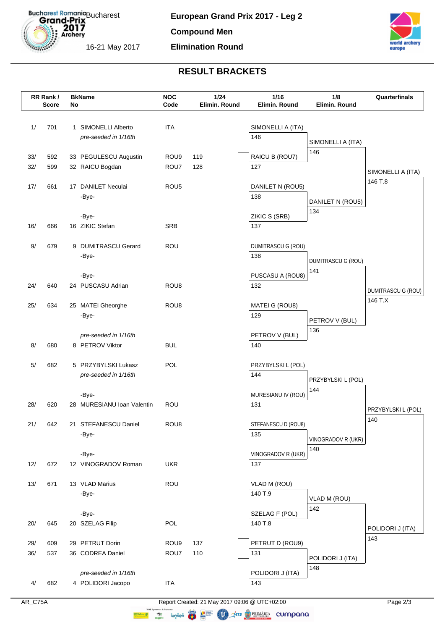

**Compound Men**

### **Elimination Round**



# **RESULT BRACKETS**

| RR Rank /<br><b>Score</b> |            | <b>BkName</b><br>No |                                          | <b>NOC</b><br>Code | 1/24<br>Elimin. Round | 1/16<br>Elimin. Round | 1/8<br>Elimin. Round      | Quarterfinals             |
|---------------------------|------------|---------------------|------------------------------------------|--------------------|-----------------------|-----------------------|---------------------------|---------------------------|
|                           |            |                     |                                          |                    |                       |                       |                           |                           |
| 1/                        | 701        |                     | 1 SIMONELLI Alberto                      | <b>ITA</b>         |                       | SIMONELLI A (ITA)     |                           |                           |
|                           |            |                     | pre-seeded in 1/16th                     |                    |                       | 146                   | SIMONELLI A (ITA)         |                           |
|                           |            |                     |                                          |                    |                       |                       | 146                       |                           |
| 33/<br>32/                | 592<br>599 |                     | 33 PEGULESCU Augustin<br>32 RAICU Bogdan | ROU9<br>ROU7       | 119<br>128            | RAICU B (ROU7)<br>127 |                           |                           |
|                           |            |                     |                                          |                    |                       |                       |                           | SIMONELLI A (ITA)         |
| 17/                       | 661        |                     | 17 DANILET Neculai                       | ROU <sub>5</sub>   |                       | DANILET N (ROU5)      |                           | 146 T.8                   |
|                           |            |                     | -Bye-                                    |                    |                       | 138                   | DANILET N (ROU5)          |                           |
|                           |            |                     |                                          |                    |                       |                       | 134                       |                           |
|                           |            |                     | -Bye-                                    |                    |                       | ZIKIC S (SRB)         |                           |                           |
| 16/                       | 666        |                     | 16 ZIKIC Stefan                          | <b>SRB</b>         |                       | 137                   |                           |                           |
| 9/                        | 679        |                     | 9 DUMITRASCU Gerard                      | ROU                |                       | DUMITRASCU G (ROU)    |                           |                           |
|                           |            |                     | -Bye-                                    |                    |                       | 138                   | DUMITRASCU G (ROU)        |                           |
|                           |            |                     |                                          |                    |                       |                       | 141                       |                           |
|                           |            |                     | -Bye-                                    |                    |                       | PUSCASU A (ROU8)      |                           |                           |
| 24/                       | 640        |                     | 24 PUSCASU Adrian                        | ROU <sub>8</sub>   |                       | 132                   |                           | <b>DUMITRASCU G (ROU)</b> |
| 25/                       | 634        |                     | 25 MATEI Gheorghe                        | ROU <sub>8</sub>   |                       | MATEI G (ROU8)        |                           | 146 T.X                   |
|                           |            |                     | -Bye-                                    |                    |                       | 129                   |                           |                           |
|                           |            |                     |                                          |                    |                       |                       | PETROV V (BUL)<br>136     |                           |
|                           |            |                     | pre-seeded in 1/16th                     |                    |                       | PETROV V (BUL)        |                           |                           |
| 8/                        | 680        |                     | 8 PETROV Viktor                          | <b>BUL</b>         |                       | 140                   |                           |                           |
| 5/                        | 682        |                     | 5 PRZYBYLSKI Lukasz                      | POL                |                       | PRZYBYLSKI L (POL)    |                           |                           |
|                           |            |                     | pre-seeded in 1/16th                     |                    |                       | 144                   |                           |                           |
|                           |            |                     |                                          |                    |                       |                       | PRZYBYLSKI L (POL)<br>144 |                           |
|                           |            |                     | -Bye-                                    |                    |                       | MURESIANU IV (ROU)    |                           |                           |
| 28/                       | 620        |                     | 28 MURESIANU Ioan Valentin               | ROU                |                       | 131                   |                           | PRZYBYLSKI L (POL)        |
| 21/                       | 642        |                     | 21 STEFANESCU Daniel                     | ROU8               |                       | STEFANESCU D (ROU8)   |                           | 140                       |
|                           |            |                     | -Bye-                                    |                    |                       | 135                   |                           |                           |
|                           |            |                     |                                          |                    |                       |                       | VINOGRADOV R (UKR)<br>140 |                           |
|                           |            |                     | -Bye-                                    |                    |                       | VINOGRADOV R (UKR)    |                           |                           |
| 12/                       | 672        |                     | 12 VINOGRADOV Roman                      | <b>UKR</b>         |                       | 137                   |                           |                           |
| 13/                       | 671        |                     | 13 VLAD Marius                           | ROU                |                       | VLAD M (ROU)          |                           |                           |
|                           |            |                     | -Bye-                                    |                    |                       | 140 T.9               |                           |                           |
|                           |            |                     |                                          |                    |                       |                       | VLAD M (ROU)<br>142       |                           |
|                           |            |                     | -Bye-                                    |                    |                       | SZELAG F (POL)        |                           |                           |
| 20/                       | 645        |                     | 20 SZELAG Filip                          | POL                |                       | 140 T.8               |                           | POLIDORI J (ITA)          |
| 29/                       | 609        |                     | 29 PETRUT Dorin                          | ROU9               | 137                   | PETRUT D (ROU9)       |                           | 143                       |
| 36/                       | 537        |                     | 36 CODREA Daniel                         | ROU7               | 110                   | 131                   |                           |                           |
|                           |            |                     |                                          |                    |                       |                       | POLIDORI J (ITA)          |                           |
|                           |            |                     | pre-seeded in 1/16th                     |                    |                       | POLIDORI J (ITA)      | 148                       |                           |
| 4/                        | 682        |                     | 4 POLIDORI Jacopo                        | <b>ITA</b>         |                       | 143                   |                           |                           |
|                           |            |                     |                                          |                    |                       |                       |                           |                           |

AR\_C75A Report Created: 21 May 2017 09:06 @ UTC+02:00 **WALES AND STATISTICS** COMPOUNDED TO THE COMPOUNDED COMPOUNDED TO THE COMPOUNDED COMPOUNDED TO THE COMPOUNDED OF THE COMPOUNDED OF THE COMPOUNDED OF THE COMPOUNDED OF THE COMPOUNDED OF THE COMPOUNDED OF THE COMPOUNDED OF T